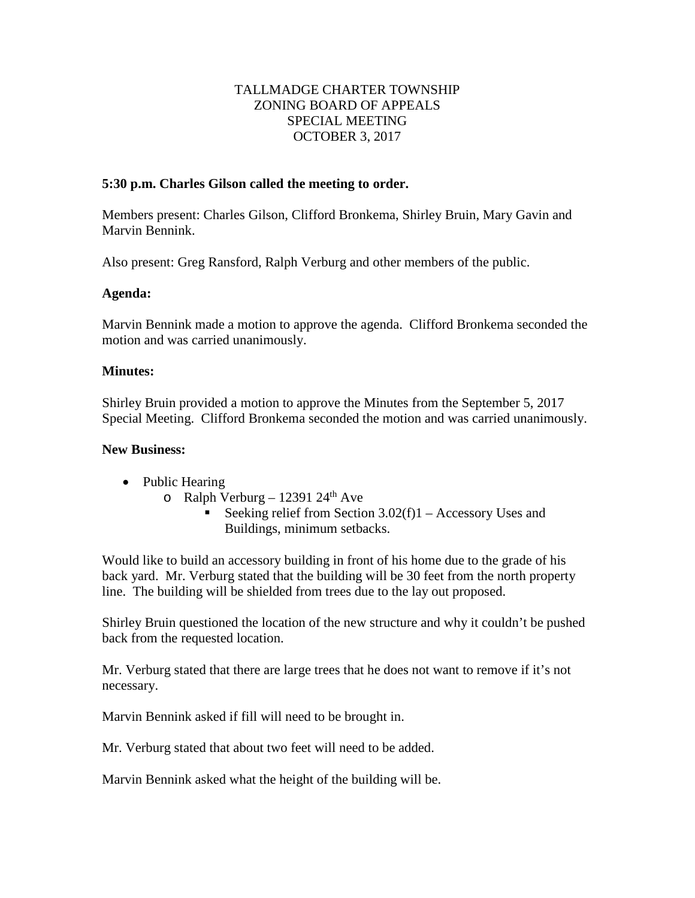### TALLMADGE CHARTER TOWNSHIP ZONING BOARD OF APPEALS SPECIAL MEETING OCTOBER 3, 2017

#### **5:30 p.m. Charles Gilson called the meeting to order.**

Members present: Charles Gilson, Clifford Bronkema, Shirley Bruin, Mary Gavin and Marvin Bennink.

Also present: Greg Ransford, Ralph Verburg and other members of the public.

#### **Agenda:**

Marvin Bennink made a motion to approve the agenda. Clifford Bronkema seconded the motion and was carried unanimously.

#### **Minutes:**

Shirley Bruin provided a motion to approve the Minutes from the September 5, 2017 Special Meeting. Clifford Bronkema seconded the motion and was carried unanimously.

### **New Business:**

- Public Hearing
	- o Ralph Verburg 12391 24<sup>th</sup> Ave
		- Seeking relief from Section  $3.02(f)1 -$  Accessory Uses and Buildings, minimum setbacks.

Would like to build an accessory building in front of his home due to the grade of his back yard. Mr. Verburg stated that the building will be 30 feet from the north property line. The building will be shielded from trees due to the lay out proposed.

Shirley Bruin questioned the location of the new structure and why it couldn't be pushed back from the requested location.

Mr. Verburg stated that there are large trees that he does not want to remove if it's not necessary.

Marvin Bennink asked if fill will need to be brought in.

Mr. Verburg stated that about two feet will need to be added.

Marvin Bennink asked what the height of the building will be.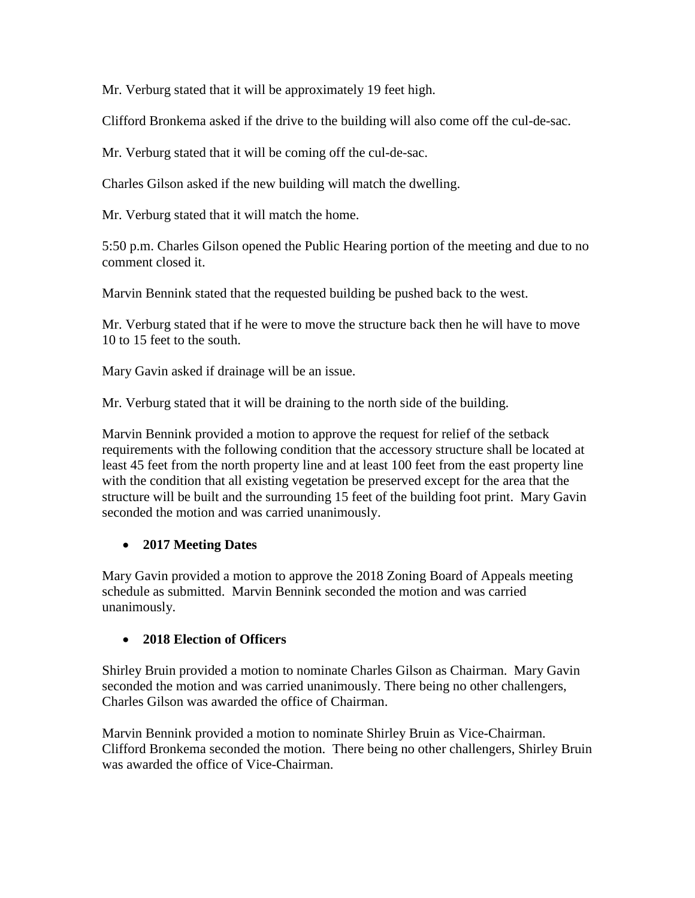Mr. Verburg stated that it will be approximately 19 feet high.

Clifford Bronkema asked if the drive to the building will also come off the cul-de-sac.

Mr. Verburg stated that it will be coming off the cul-de-sac.

Charles Gilson asked if the new building will match the dwelling.

Mr. Verburg stated that it will match the home.

5:50 p.m. Charles Gilson opened the Public Hearing portion of the meeting and due to no comment closed it.

Marvin Bennink stated that the requested building be pushed back to the west.

Mr. Verburg stated that if he were to move the structure back then he will have to move 10 to 15 feet to the south.

Mary Gavin asked if drainage will be an issue.

Mr. Verburg stated that it will be draining to the north side of the building.

Marvin Bennink provided a motion to approve the request for relief of the setback requirements with the following condition that the accessory structure shall be located at least 45 feet from the north property line and at least 100 feet from the east property line with the condition that all existing vegetation be preserved except for the area that the structure will be built and the surrounding 15 feet of the building foot print. Mary Gavin seconded the motion and was carried unanimously.

# • **2017 Meeting Dates**

Mary Gavin provided a motion to approve the 2018 Zoning Board of Appeals meeting schedule as submitted. Marvin Bennink seconded the motion and was carried unanimously.

# • **2018 Election of Officers**

Shirley Bruin provided a motion to nominate Charles Gilson as Chairman. Mary Gavin seconded the motion and was carried unanimously. There being no other challengers, Charles Gilson was awarded the office of Chairman.

Marvin Bennink provided a motion to nominate Shirley Bruin as Vice-Chairman. Clifford Bronkema seconded the motion. There being no other challengers, Shirley Bruin was awarded the office of Vice-Chairman.